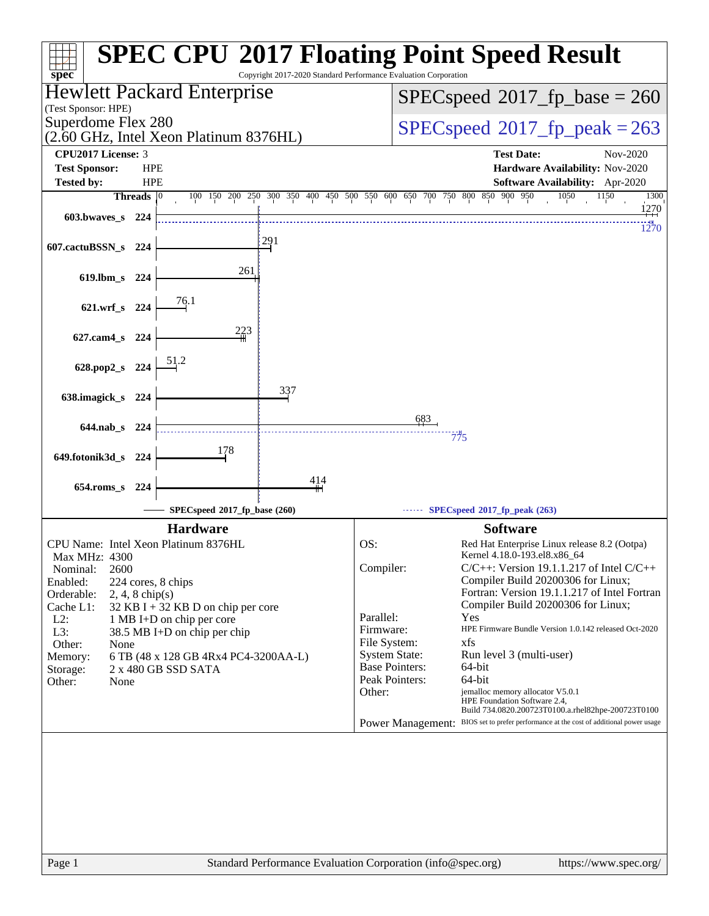| spec <sup>®</sup>                                 |                                                           | Copyright 2017-2020 Standard Performance Evaluation Corporation         |                                               | <b>SPEC CPU®2017 Floating Point Speed Result</b>                                                                       |  |  |  |
|---------------------------------------------------|-----------------------------------------------------------|-------------------------------------------------------------------------|-----------------------------------------------|------------------------------------------------------------------------------------------------------------------------|--|--|--|
| Hewlett Packard Enterprise<br>(Test Sponsor: HPE) |                                                           |                                                                         |                                               | $SPEC speed^{\circ}2017$ fp base = 260                                                                                 |  |  |  |
| Superdome Flex 280                                | (2.60 GHz, Intel Xeon Platinum 8376HL)                    |                                                                         |                                               | $SPEC speed^{\circ}2017$ fp peak = 263                                                                                 |  |  |  |
| <b>CPU2017 License: 3</b>                         |                                                           |                                                                         |                                               | <b>Test Date:</b><br>Nov-2020                                                                                          |  |  |  |
| <b>Test Sponsor:</b><br><b>Tested by:</b>         | <b>HPE</b><br><b>HPE</b>                                  |                                                                         |                                               | Hardware Availability: Nov-2020<br>Software Availability: Apr-2020                                                     |  |  |  |
| Threads $ 0$                                      |                                                           | 100 150 200 250 300 350 400 450 500 550 600 650 700 750 800 850 900 950 |                                               | 1150<br>1050<br>1300                                                                                                   |  |  |  |
| $603.bwaves$ $s$ 224                              |                                                           |                                                                         |                                               | 1270<br>1270                                                                                                           |  |  |  |
| 607.cactuBSSN_s<br>224                            |                                                           | 291                                                                     |                                               |                                                                                                                        |  |  |  |
| 619.lbm_s 224                                     | 261                                                       |                                                                         |                                               |                                                                                                                        |  |  |  |
| 621.wrf_s 224                                     | 76.1                                                      |                                                                         |                                               |                                                                                                                        |  |  |  |
| 627.cam4_s 224                                    | 223                                                       |                                                                         |                                               |                                                                                                                        |  |  |  |
| 628.pop2_s 224                                    |                                                           |                                                                         |                                               |                                                                                                                        |  |  |  |
| 638.imagick_s 224                                 |                                                           | 337                                                                     |                                               |                                                                                                                        |  |  |  |
|                                                   |                                                           |                                                                         |                                               |                                                                                                                        |  |  |  |
| $644$ .nab s<br>-224                              |                                                           |                                                                         | <u>683</u>                                    | 775                                                                                                                    |  |  |  |
| 649.fotonik3d_s 224                               | 178                                                       |                                                                         |                                               |                                                                                                                        |  |  |  |
| 654.roms s 224                                    |                                                           | 414                                                                     |                                               |                                                                                                                        |  |  |  |
|                                                   | SPECspeed®2017_fp_base (260)                              |                                                                         |                                               | $\cdots$ SPECspeed <sup>®</sup> 2017 fp_peak (263)                                                                     |  |  |  |
|                                                   | <b>Hardware</b>                                           |                                                                         |                                               | <b>Software</b>                                                                                                        |  |  |  |
| Max MHz: 4300                                     | CPU Name: Intel Xeon Platinum 8376HL                      |                                                                         | OS:                                           | Red Hat Enterprise Linux release 8.2 (Ootpa)<br>Kernel 4.18.0-193.el8.x86_64                                           |  |  |  |
| 2600<br>Nominal:                                  |                                                           |                                                                         | Compiler:                                     | $C/C++$ : Version 19.1.1.217 of Intel $C/C++$                                                                          |  |  |  |
| Enabled:<br>Orderable:<br>$2, 4, 8$ chip(s)       | 224 cores, 8 chips                                        |                                                                         |                                               | Compiler Build 20200306 for Linux;<br>Fortran: Version 19.1.1.217 of Intel Fortran                                     |  |  |  |
| Cache L1:                                         | $32$ KB I + 32 KB D on chip per core                      |                                                                         |                                               | Compiler Build 20200306 for Linux;                                                                                     |  |  |  |
| $L2$ :<br>L3:                                     | 1 MB I+D on chip per core<br>38.5 MB I+D on chip per chip |                                                                         | Parallel:<br>Firmware:                        | Yes<br>HPE Firmware Bundle Version 1.0.142 released Oct-2020                                                           |  |  |  |
| Other:<br>None                                    |                                                           |                                                                         | File System:                                  | xfs                                                                                                                    |  |  |  |
| Memory:                                           | 6 TB (48 x 128 GB 4Rx4 PC4-3200AA-L)                      |                                                                         | <b>System State:</b><br><b>Base Pointers:</b> | Run level 3 (multi-user)<br>64-bit                                                                                     |  |  |  |
| Storage:<br>Other:<br>None                        | 2 x 480 GB SSD SATA                                       |                                                                         | Peak Pointers:                                | 64-bit                                                                                                                 |  |  |  |
|                                                   |                                                           |                                                                         | Other:                                        | jemalloc memory allocator V5.0.1<br>HPE Foundation Software 2.4,<br>Build 734.0820.200723T0100.a.rhel82hpe-200723T0100 |  |  |  |
|                                                   |                                                           |                                                                         |                                               | Power Management: BIOS set to prefer performance at the cost of additional power usage                                 |  |  |  |
|                                                   |                                                           |                                                                         |                                               |                                                                                                                        |  |  |  |
| Page 1                                            |                                                           | Standard Performance Evaluation Corporation (info@spec.org)             |                                               | https://www.spec.org/                                                                                                  |  |  |  |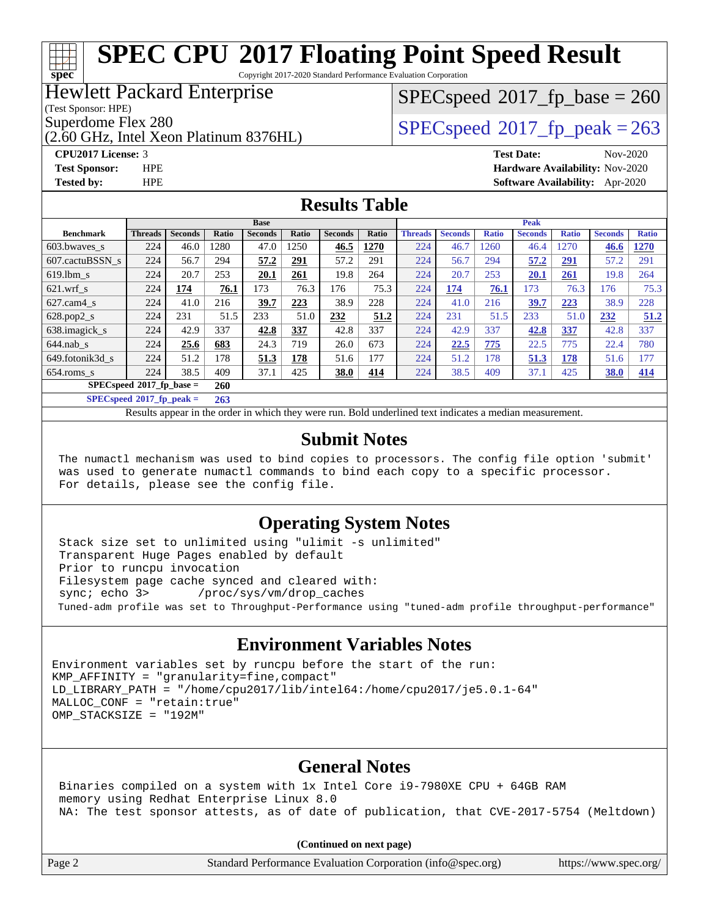Copyright 2017-2020 Standard Performance Evaluation Corporation

### Hewlett Packard Enterprise

(Test Sponsor: HPE)

**[spec](http://www.spec.org/)**

(2.60 GHz, Intel Xeon Platinum 8376HL)

**[Tested by:](http://www.spec.org/auto/cpu2017/Docs/result-fields.html#Testedby)** HPE **[Software Availability:](http://www.spec.org/auto/cpu2017/Docs/result-fields.html#SoftwareAvailability)** Apr-2020

# $SPEC speed^{\circ}2017\_fp\_base = 260$

Superdome Flex 280<br>  $SPEC speed^{\circ}2017$  fp\_peak = 263

**[CPU2017 License:](http://www.spec.org/auto/cpu2017/Docs/result-fields.html#CPU2017License)** 3 **[Test Date:](http://www.spec.org/auto/cpu2017/Docs/result-fields.html#TestDate)** Nov-2020 **[Test Sponsor:](http://www.spec.org/auto/cpu2017/Docs/result-fields.html#TestSponsor)** HPE **[Hardware Availability:](http://www.spec.org/auto/cpu2017/Docs/result-fields.html#HardwareAvailability)** Nov-2020

### **[Results Table](http://www.spec.org/auto/cpu2017/Docs/result-fields.html#ResultsTable)**

|                                   | <b>Base</b>    |                |       | <b>Peak</b>    |       |                |            |                |                |              |                |              |                |              |
|-----------------------------------|----------------|----------------|-------|----------------|-------|----------------|------------|----------------|----------------|--------------|----------------|--------------|----------------|--------------|
| <b>Benchmark</b>                  | <b>Threads</b> | <b>Seconds</b> | Ratio | <b>Seconds</b> | Ratio | <b>Seconds</b> | Ratio      | <b>Threads</b> | <b>Seconds</b> | <b>Ratio</b> | <b>Seconds</b> | <b>Ratio</b> | <b>Seconds</b> | <b>Ratio</b> |
| 603.bwayes s                      | 224            | 46.0           | 1280  | 47.0           | 1250  | 46.5           | 1270       | 224            | 46.7           | 1260         | 46.4           | 1270         | 46.6           | 1270         |
| 607.cactuBSSN s                   | 224            | 56.7           | 294   | 57.2           | 291   | 57.2           | 291        | 224            | 56.7           | 294          | 57.2           | <u>291</u>   | 57.2           | 291          |
| $619.$ lbm s                      | 224            | 20.7           | 253   | 20.1           | 261   | 19.8           | 264        | 224            | 20.7           | 253          | 20.1           | 261          | 19.8           | 264          |
| $621$ wrf s                       | 224            | 174            | 76.1  | 173            | 76.3  | 176            | 75.3       | 224            | 174            | 76.1         | 173            | 76.3         | 176            | 75.3         |
| $627$ .cam $4 \text{ s}$          | 224            | 41.0           | 216   | 39.7           | 223   | 38.9           | 228        | 224            | 41.0           | 216          | 39.7           | 223          | 38.9           | 228          |
| $628.pop2_s$                      | 224            | 231            | 51.5  | 233            | 51.0  | 232            | 51.2       | 224            | 231            | 51.5         | 233            | 51.0         | 232            | 51.2         |
| 638.imagick_s                     | 224            | 42.9           | 337   | 42.8           | 337   | 42.8           | 337        | 224            | 42.9           | 337          | 42.8           | 337          | 42.8           | 337          |
| $644$ .nab s                      | 224            | 25.6           | 683   | 24.3           | 719   | 26.0           | 673        | 224            | 22.5           | 775          | 22.5           | 775          | 22.4           | 780          |
| 649.fotonik3d s                   | 224            | 51.2           | 178   | 51.3           | 178   | 51.6           | 177        | 224            | 51.2           | 178          | 51.3           | 178          | 51.6           | 177          |
| $654$ .roms s                     | 224            | 38.5           | 409   | 37.1           | 425   | 38.0           | <u>414</u> | 224            | 38.5           | 409          | 37.1           | 425          | <u>38.0</u>    | 414          |
| $SPECspeed*2017_fp\_base =$       |                |                | 260   |                |       |                |            |                |                |              |                |              |                |              |
| $SPECspeed^{\circ}2017$ fp peak = |                |                | 263   |                |       |                |            |                |                |              |                |              |                |              |

Results appear in the [order in which they were run](http://www.spec.org/auto/cpu2017/Docs/result-fields.html#RunOrder). Bold underlined text [indicates a median measurement](http://www.spec.org/auto/cpu2017/Docs/result-fields.html#Median).

### **[Submit Notes](http://www.spec.org/auto/cpu2017/Docs/result-fields.html#SubmitNotes)**

 The numactl mechanism was used to bind copies to processors. The config file option 'submit' was used to generate numactl commands to bind each copy to a specific processor. For details, please see the config file.

### **[Operating System Notes](http://www.spec.org/auto/cpu2017/Docs/result-fields.html#OperatingSystemNotes)**

 Stack size set to unlimited using "ulimit -s unlimited" Transparent Huge Pages enabled by default Prior to runcpu invocation Filesystem page cache synced and cleared with: sync; echo 3> /proc/sys/vm/drop\_caches Tuned-adm profile was set to Throughput-Performance using "tuned-adm profile throughput-performance"

### **[Environment Variables Notes](http://www.spec.org/auto/cpu2017/Docs/result-fields.html#EnvironmentVariablesNotes)**

Environment variables set by runcpu before the start of the run:  $KMP$  AFFINITY = "granularity=fine, compact" LD\_LIBRARY\_PATH = "/home/cpu2017/lib/intel64:/home/cpu2017/je5.0.1-64" MALLOC\_CONF = "retain:true" OMP\_STACKSIZE = "192M"

### **[General Notes](http://www.spec.org/auto/cpu2017/Docs/result-fields.html#GeneralNotes)**

 Binaries compiled on a system with 1x Intel Core i9-7980XE CPU + 64GB RAM memory using Redhat Enterprise Linux 8.0 NA: The test sponsor attests, as of date of publication, that CVE-2017-5754 (Meltdown)

**(Continued on next page)**

Page 2 Standard Performance Evaluation Corporation [\(info@spec.org\)](mailto:info@spec.org) <https://www.spec.org/>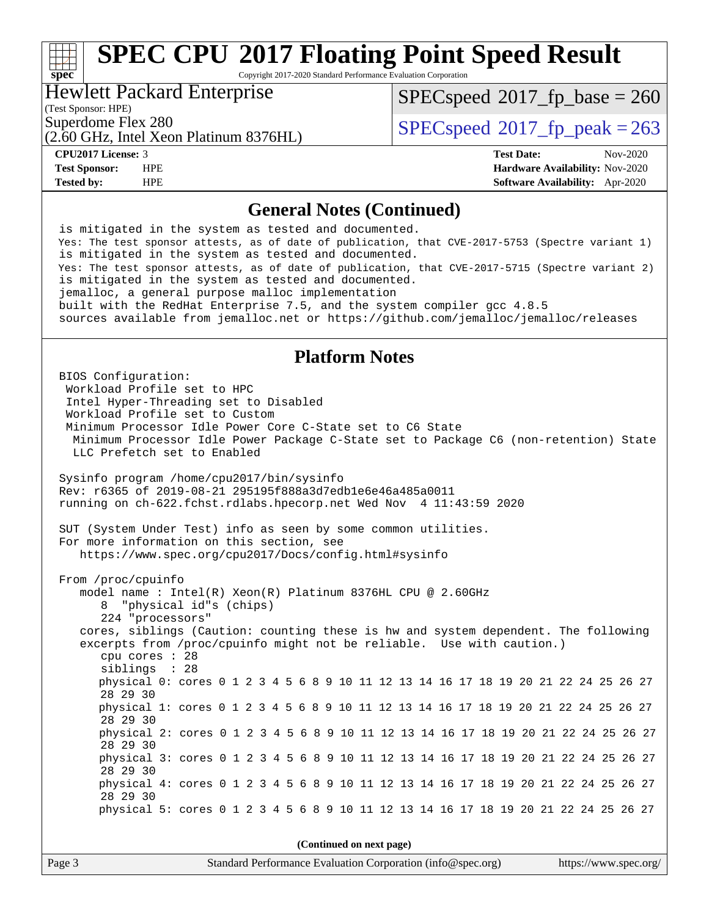Copyright 2017-2020 Standard Performance Evaluation Corporation

### Hewlett Packard Enterprise

(Test Sponsor: HPE)

**[spec](http://www.spec.org/)**

[SPECspeed](http://www.spec.org/auto/cpu2017/Docs/result-fields.html#SPECspeed2017fpbase)<sup>®</sup>2017 fp base = 260

(2.60 GHz, Intel Xeon Platinum 8376HL)

Superdome Flex 280<br>  $SPECspeed^{\circ}2017$  $SPECspeed^{\circ}2017$  fp\_peak = 263

**[CPU2017 License:](http://www.spec.org/auto/cpu2017/Docs/result-fields.html#CPU2017License)** 3 **[Test Date:](http://www.spec.org/auto/cpu2017/Docs/result-fields.html#TestDate)** Nov-2020 **[Test Sponsor:](http://www.spec.org/auto/cpu2017/Docs/result-fields.html#TestSponsor)** HPE **[Hardware Availability:](http://www.spec.org/auto/cpu2017/Docs/result-fields.html#HardwareAvailability)** Nov-2020 **[Tested by:](http://www.spec.org/auto/cpu2017/Docs/result-fields.html#Testedby)** HPE **[Software Availability:](http://www.spec.org/auto/cpu2017/Docs/result-fields.html#SoftwareAvailability)** Apr-2020

### **[General Notes \(Continued\)](http://www.spec.org/auto/cpu2017/Docs/result-fields.html#GeneralNotes)**

 is mitigated in the system as tested and documented. Yes: The test sponsor attests, as of date of publication, that CVE-2017-5753 (Spectre variant 1) is mitigated in the system as tested and documented. Yes: The test sponsor attests, as of date of publication, that CVE-2017-5715 (Spectre variant 2) is mitigated in the system as tested and documented. jemalloc, a general purpose malloc implementation built with the RedHat Enterprise 7.5, and the system compiler gcc 4.8.5 sources available from jemalloc.net or<https://github.com/jemalloc/jemalloc/releases>

### **[Platform Notes](http://www.spec.org/auto/cpu2017/Docs/result-fields.html#PlatformNotes)**

 BIOS Configuration: Workload Profile set to HPC Intel Hyper-Threading set to Disabled Workload Profile set to Custom Minimum Processor Idle Power Core C-State set to C6 State Minimum Processor Idle Power Package C-State set to Package C6 (non-retention) State LLC Prefetch set to Enabled Sysinfo program /home/cpu2017/bin/sysinfo Rev: r6365 of 2019-08-21 295195f888a3d7edb1e6e46a485a0011 running on ch-622.fchst.rdlabs.hpecorp.net Wed Nov 4 11:43:59 2020 SUT (System Under Test) info as seen by some common utilities. For more information on this section, see <https://www.spec.org/cpu2017/Docs/config.html#sysinfo> From /proc/cpuinfo model name : Intel(R) Xeon(R) Platinum 8376HL CPU @ 2.60GHz 8 "physical id"s (chips) 224 "processors" cores, siblings (Caution: counting these is hw and system dependent. The following excerpts from /proc/cpuinfo might not be reliable. Use with caution.) cpu cores : 28 siblings : 28 physical 0: cores 0 1 2 3 4 5 6 8 9 10 11 12 13 14 16 17 18 19 20 21 22 24 25 26 27 28 29 30 physical 1: cores 0 1 2 3 4 5 6 8 9 10 11 12 13 14 16 17 18 19 20 21 22 24 25 26 27 28 29 30 physical 2: cores 0 1 2 3 4 5 6 8 9 10 11 12 13 14 16 17 18 19 20 21 22 24 25 26 27 28 29 30 physical 3: cores 0 1 2 3 4 5 6 8 9 10 11 12 13 14 16 17 18 19 20 21 22 24 25 26 27 28 29 30 physical 4: cores 0 1 2 3 4 5 6 8 9 10 11 12 13 14 16 17 18 19 20 21 22 24 25 26 27 28 29 30 physical 5: cores 0 1 2 3 4 5 6 8 9 10 11 12 13 14 16 17 18 19 20 21 22 24 25 26 27 **(Continued on next page)**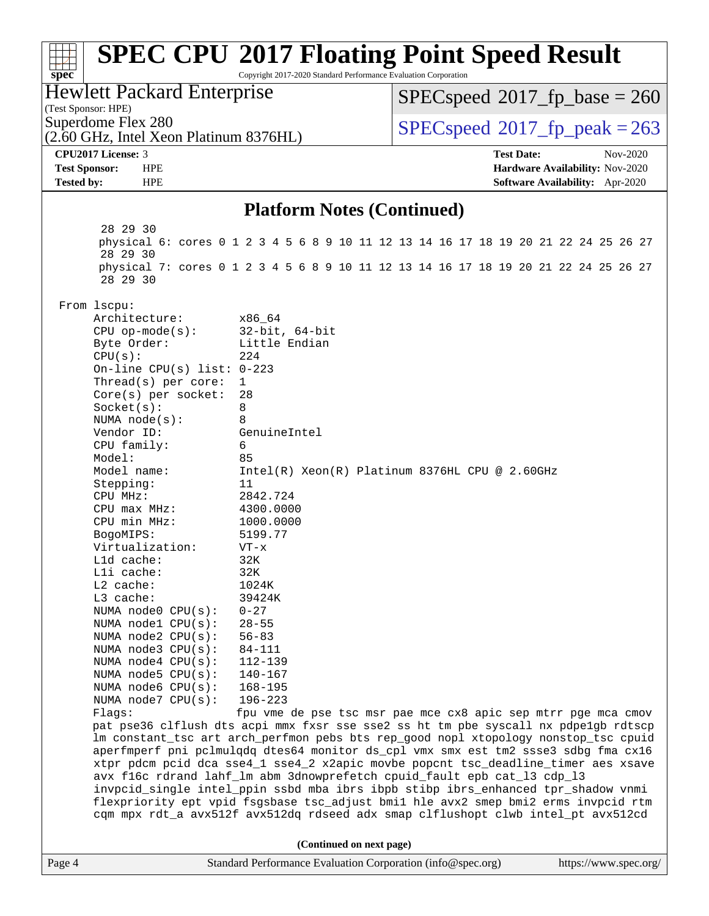### Page 4 Standard Performance Evaluation Corporation [\(info@spec.org\)](mailto:info@spec.org) <https://www.spec.org/> **[spec](http://www.spec.org/) [SPEC CPU](http://www.spec.org/auto/cpu2017/Docs/result-fields.html#SPECCPU2017FloatingPointSpeedResult)[2017 Floating Point Speed Result](http://www.spec.org/auto/cpu2017/Docs/result-fields.html#SPECCPU2017FloatingPointSpeedResult)** Copyright 2017-2020 Standard Performance Evaluation Corporation (Test Sponsor: HPE) Hewlett Packard Enterprise (2.60 GHz, Intel Xeon Platinum 8376HL) Superdome Flex 280<br>  $SPEC speed^{\circ}2017$  fp\_peak = 263 [SPECspeed](http://www.spec.org/auto/cpu2017/Docs/result-fields.html#SPECspeed2017fpbase)<sup>®</sup>2017 fp base = 260 **[CPU2017 License:](http://www.spec.org/auto/cpu2017/Docs/result-fields.html#CPU2017License)** 3 **[Test Date:](http://www.spec.org/auto/cpu2017/Docs/result-fields.html#TestDate)** Nov-2020 **[Test Sponsor:](http://www.spec.org/auto/cpu2017/Docs/result-fields.html#TestSponsor)** HPE **[Hardware Availability:](http://www.spec.org/auto/cpu2017/Docs/result-fields.html#HardwareAvailability)** Nov-2020 **[Tested by:](http://www.spec.org/auto/cpu2017/Docs/result-fields.html#Testedby)** HPE **[Software Availability:](http://www.spec.org/auto/cpu2017/Docs/result-fields.html#SoftwareAvailability)** Apr-2020 **[Platform Notes \(Continued\)](http://www.spec.org/auto/cpu2017/Docs/result-fields.html#PlatformNotes)** 28 29 30 physical 6: cores 0 1 2 3 4 5 6 8 9 10 11 12 13 14 16 17 18 19 20 21 22 24 25 26 27 28 29 30 physical 7: cores 0 1 2 3 4 5 6 8 9 10 11 12 13 14 16 17 18 19 20 21 22 24 25 26 27 28 29 30 From lscpu: Architecture: x86\_64 CPU op-mode(s): 32-bit, 64-bit Byte Order: Little Endian  $CPU(s):$  224 On-line CPU(s) list: 0-223 Thread(s) per core: 1 Core(s) per socket: 28 Socket(s): 8 NUMA node(s): 8 Vendor ID: GenuineIntel CPU family: 6 Model: 85 Model name: Intel(R) Xeon(R) Platinum 8376HL CPU @ 2.60GHz Stepping: 11 CPU MHz: 2842.724 CPU max MHz: 4300.0000 CPU min MHz: 1000.0000 BogoMIPS: 5199.77 Virtualization: VT-x L1d cache: 32K L1i cache: 32K L2 cache: 1024K L3 cache: 39424K<br>NUMA node0 CPU(s): 0-27 NUMA  $node0$   $CPU(s):$  NUMA node1 CPU(s): 28-55 NUMA node2 CPU(s): 56-83 NUMA node3 CPU(s): 84-111 NUMA node4 CPU(s): 112-139 NUMA node5 CPU(s): 140-167 NUMA node6 CPU(s): 168-195 NUMA node7 CPU(s): 196-223 Flags: fpu vme de pse tsc msr pae mce cx8 apic sep mtrr pge mca cmov pat pse36 clflush dts acpi mmx fxsr sse sse2 ss ht tm pbe syscall nx pdpe1gb rdtscp lm constant\_tsc art arch\_perfmon pebs bts rep\_good nopl xtopology nonstop\_tsc cpuid aperfmperf pni pclmulqdq dtes64 monitor ds\_cpl vmx smx est tm2 ssse3 sdbg fma cx16 xtpr pdcm pcid dca sse4\_1 sse4\_2 x2apic movbe popcnt tsc\_deadline\_timer aes xsave avx f16c rdrand lahf\_lm abm 3dnowprefetch cpuid\_fault epb cat\_l3 cdp\_l3 invpcid\_single intel\_ppin ssbd mba ibrs ibpb stibp ibrs\_enhanced tpr\_shadow vnmi flexpriority ept vpid fsgsbase tsc\_adjust bmi1 hle avx2 smep bmi2 erms invpcid rtm cqm mpx rdt\_a avx512f avx512dq rdseed adx smap clflushopt clwb intel\_pt avx512cd **(Continued on next page)**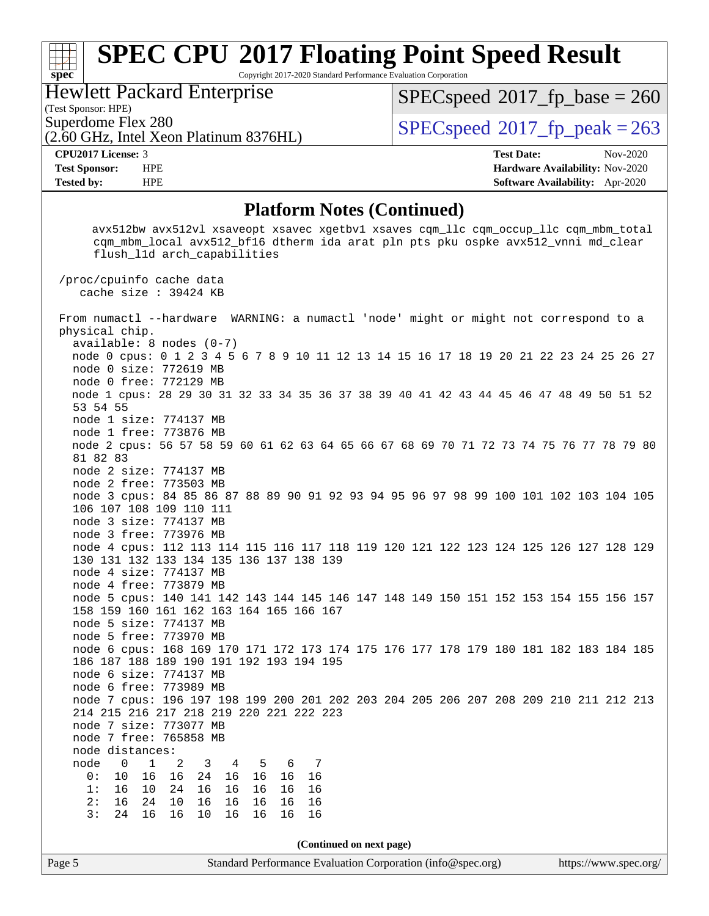Copyright 2017-2020 Standard Performance Evaluation Corporation

### Hewlett Packard Enterprise

(2.60 GHz, Intel Xeon Platinum 8376HL)

(Test Sponsor: HPE)

**[spec](http://www.spec.org/)**

[SPECspeed](http://www.spec.org/auto/cpu2017/Docs/result-fields.html#SPECspeed2017fpbase)<sup>®</sup>2017 fp base = 260

Superdome Flex 280<br> $\overline{SPECspeed}^{\otimes}2017$  $\overline{SPECspeed}^{\otimes}2017$  $\overline{SPECspeed}^{\otimes}2017$ \_fp\_peak = 263

**[CPU2017 License:](http://www.spec.org/auto/cpu2017/Docs/result-fields.html#CPU2017License)** 3 **[Test Date:](http://www.spec.org/auto/cpu2017/Docs/result-fields.html#TestDate)** Nov-2020 **[Test Sponsor:](http://www.spec.org/auto/cpu2017/Docs/result-fields.html#TestSponsor)** HPE **[Hardware Availability:](http://www.spec.org/auto/cpu2017/Docs/result-fields.html#HardwareAvailability)** Nov-2020 **[Tested by:](http://www.spec.org/auto/cpu2017/Docs/result-fields.html#Testedby)** HPE **[Software Availability:](http://www.spec.org/auto/cpu2017/Docs/result-fields.html#SoftwareAvailability)** Apr-2020

### **[Platform Notes \(Continued\)](http://www.spec.org/auto/cpu2017/Docs/result-fields.html#PlatformNotes)**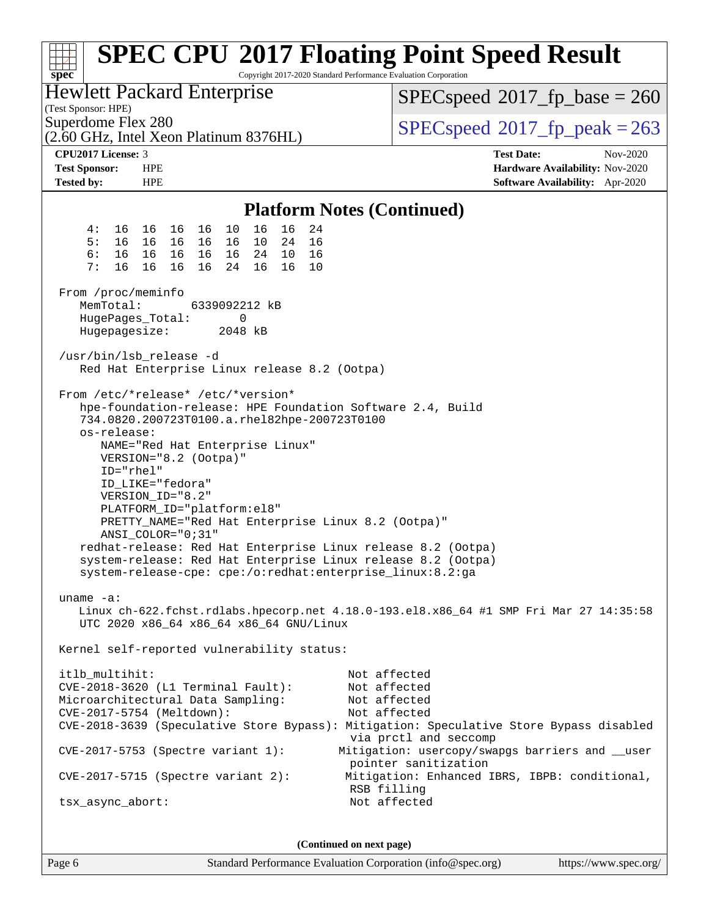| $spec^*$                                                                                                                                                                                                                                                                                                                                                                                                                                                                                                                                                                                                                                          | <b>SPEC CPU®2017 Floating Point Speed Result</b><br>Copyright 2017-2020 Standard Performance Evaluation Corporation                                                                                                                 |  |  |  |  |  |  |
|---------------------------------------------------------------------------------------------------------------------------------------------------------------------------------------------------------------------------------------------------------------------------------------------------------------------------------------------------------------------------------------------------------------------------------------------------------------------------------------------------------------------------------------------------------------------------------------------------------------------------------------------------|-------------------------------------------------------------------------------------------------------------------------------------------------------------------------------------------------------------------------------------|--|--|--|--|--|--|
| <b>Hewlett Packard Enterprise</b><br>(Test Sponsor: HPE)                                                                                                                                                                                                                                                                                                                                                                                                                                                                                                                                                                                          | $SPEC speed^{\circ}2017\_fp\_base = 260$                                                                                                                                                                                            |  |  |  |  |  |  |
| Superdome Flex 280<br>(2.60 GHz, Intel Xeon Platinum 8376HL)                                                                                                                                                                                                                                                                                                                                                                                                                                                                                                                                                                                      | $SPEC speed^{\circ}2017$ _fp_peak = 263                                                                                                                                                                                             |  |  |  |  |  |  |
| <b>CPU2017 License: 3</b>                                                                                                                                                                                                                                                                                                                                                                                                                                                                                                                                                                                                                         | <b>Test Date:</b><br>Nov-2020                                                                                                                                                                                                       |  |  |  |  |  |  |
| <b>Test Sponsor:</b><br><b>HPE</b>                                                                                                                                                                                                                                                                                                                                                                                                                                                                                                                                                                                                                | Hardware Availability: Nov-2020                                                                                                                                                                                                     |  |  |  |  |  |  |
| <b>Tested by:</b><br><b>HPE</b>                                                                                                                                                                                                                                                                                                                                                                                                                                                                                                                                                                                                                   | Software Availability: Apr-2020                                                                                                                                                                                                     |  |  |  |  |  |  |
| <b>Platform Notes (Continued)</b>                                                                                                                                                                                                                                                                                                                                                                                                                                                                                                                                                                                                                 |                                                                                                                                                                                                                                     |  |  |  |  |  |  |
| 4:<br>16 16<br>16<br>16<br>24<br>16 16<br>10                                                                                                                                                                                                                                                                                                                                                                                                                                                                                                                                                                                                      |                                                                                                                                                                                                                                     |  |  |  |  |  |  |
| 5:<br>16 16<br>16 16<br>10<br>24<br>16<br>16                                                                                                                                                                                                                                                                                                                                                                                                                                                                                                                                                                                                      |                                                                                                                                                                                                                                     |  |  |  |  |  |  |
| 6:<br>16  16  16<br>24<br>10<br>16<br>16<br>16<br>7:<br>16<br>16<br>16<br>16 16<br>10                                                                                                                                                                                                                                                                                                                                                                                                                                                                                                                                                             |                                                                                                                                                                                                                                     |  |  |  |  |  |  |
| 16<br>24                                                                                                                                                                                                                                                                                                                                                                                                                                                                                                                                                                                                                                          |                                                                                                                                                                                                                                     |  |  |  |  |  |  |
| From /proc/meminfo                                                                                                                                                                                                                                                                                                                                                                                                                                                                                                                                                                                                                                |                                                                                                                                                                                                                                     |  |  |  |  |  |  |
| MemTotal:<br>6339092212 kB                                                                                                                                                                                                                                                                                                                                                                                                                                                                                                                                                                                                                        |                                                                                                                                                                                                                                     |  |  |  |  |  |  |
| HugePages_Total:<br>0                                                                                                                                                                                                                                                                                                                                                                                                                                                                                                                                                                                                                             |                                                                                                                                                                                                                                     |  |  |  |  |  |  |
| Hugepagesize:<br>2048 kB                                                                                                                                                                                                                                                                                                                                                                                                                                                                                                                                                                                                                          |                                                                                                                                                                                                                                     |  |  |  |  |  |  |
| /usr/bin/lsb_release -d                                                                                                                                                                                                                                                                                                                                                                                                                                                                                                                                                                                                                           |                                                                                                                                                                                                                                     |  |  |  |  |  |  |
| Red Hat Enterprise Linux release 8.2 (Ootpa)                                                                                                                                                                                                                                                                                                                                                                                                                                                                                                                                                                                                      |                                                                                                                                                                                                                                     |  |  |  |  |  |  |
| From /etc/*release* /etc/*version*<br>hpe-foundation-release: HPE Foundation Software 2.4, Build<br>734.0820.200723T0100.a.rhel82hpe-200723T0100<br>os-release:<br>NAME="Red Hat Enterprise Linux"<br>VERSION="8.2 (Ootpa)"<br>ID="rhel"<br>ID_LIKE="fedora"<br>VERSION_ID="8.2"<br>PLATFORM_ID="platform:el8"<br>PRETTY_NAME="Red Hat Enterprise Linux 8.2 (Ootpa)"<br>ANSI_COLOR="0;31"<br>redhat-release: Red Hat Enterprise Linux release 8.2 (Ootpa)<br>system-release: Red Hat Enterprise Linux release 8.2 (Ootpa)<br>system-release-cpe: cpe:/o:redhat:enterprise_linux:8.2:ga<br>uname $-a$ :<br>UTC 2020 x86_64 x86_64 x86_64 GNU/Linux | Linux ch-622.fchst.rdlabs.hpecorp.net 4.18.0-193.el8.x86_64 #1 SMP Fri Mar 27 14:35:58                                                                                                                                              |  |  |  |  |  |  |
| Kernel self-reported vulnerability status:                                                                                                                                                                                                                                                                                                                                                                                                                                                                                                                                                                                                        |                                                                                                                                                                                                                                     |  |  |  |  |  |  |
| itlb_multihit:<br>CVE-2018-3620 (L1 Terminal Fault):<br>Microarchitectural Data Sampling:<br>CVE-2017-5754 (Meltdown):<br>$CVE-2017-5753$ (Spectre variant 1):                                                                                                                                                                                                                                                                                                                                                                                                                                                                                    | Not affected<br>Not affected<br>Not affected<br>Not affected<br>CVE-2018-3639 (Speculative Store Bypass): Mitigation: Speculative Store Bypass disabled<br>via prctl and seccomp<br>Mitigation: usercopy/swapgs barriers and __user |  |  |  |  |  |  |
|                                                                                                                                                                                                                                                                                                                                                                                                                                                                                                                                                                                                                                                   | pointer sanitization                                                                                                                                                                                                                |  |  |  |  |  |  |
| $CVE-2017-5715$ (Spectre variant 2):                                                                                                                                                                                                                                                                                                                                                                                                                                                                                                                                                                                                              | Mitigation: Enhanced IBRS, IBPB: conditional,<br>RSB filling                                                                                                                                                                        |  |  |  |  |  |  |
| tsx_async_abort:                                                                                                                                                                                                                                                                                                                                                                                                                                                                                                                                                                                                                                  | Not affected                                                                                                                                                                                                                        |  |  |  |  |  |  |
|                                                                                                                                                                                                                                                                                                                                                                                                                                                                                                                                                                                                                                                   |                                                                                                                                                                                                                                     |  |  |  |  |  |  |

**(Continued on next page)**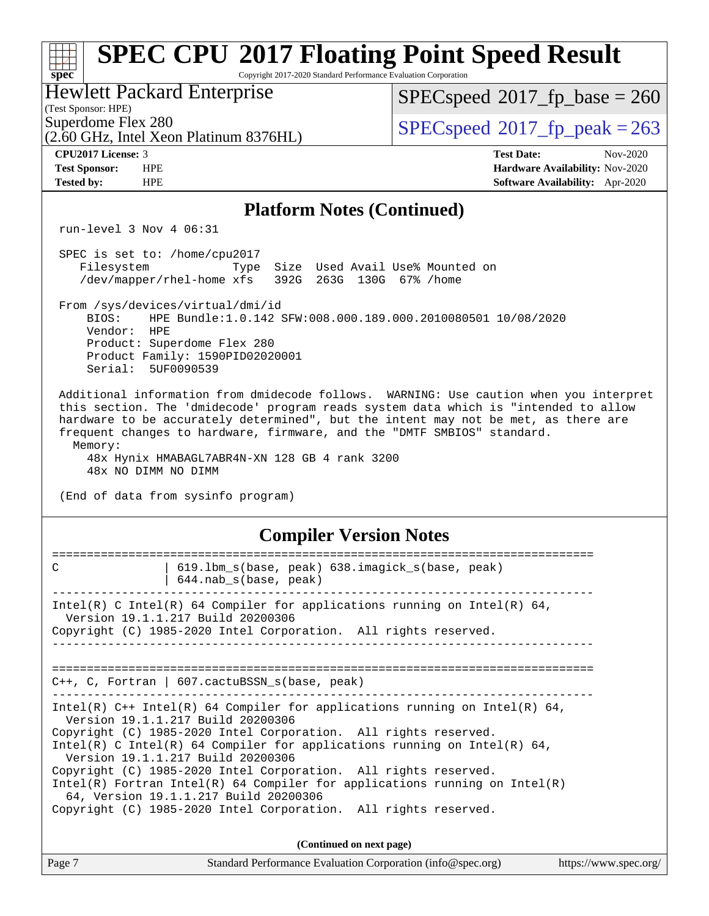| <b>SPEC CPU®2017 Floating Point Speed Result</b><br>Copyright 2017-2020 Standard Performance Evaluation Corporation<br>$spec^*$                                                                                                                                                                                                                                                                                                                                                                                                                                      |                                                                                                     |
|----------------------------------------------------------------------------------------------------------------------------------------------------------------------------------------------------------------------------------------------------------------------------------------------------------------------------------------------------------------------------------------------------------------------------------------------------------------------------------------------------------------------------------------------------------------------|-----------------------------------------------------------------------------------------------------|
| <b>Hewlett Packard Enterprise</b><br>(Test Sponsor: HPE)                                                                                                                                                                                                                                                                                                                                                                                                                                                                                                             | $SPEC speed^{\circ}2017\_fp\_base = 260$                                                            |
| Superdome Flex 280<br>(2.60 GHz, Intel Xeon Platinum 8376HL)                                                                                                                                                                                                                                                                                                                                                                                                                                                                                                         | $SPEC speed^{\circ}2017$ fp peak = 263                                                              |
| CPU2017 License: 3<br><b>Test Sponsor:</b><br><b>HPE</b><br><b>HPE</b><br><b>Tested by:</b>                                                                                                                                                                                                                                                                                                                                                                                                                                                                          | <b>Test Date:</b><br>Nov-2020<br>Hardware Availability: Nov-2020<br>Software Availability: Apr-2020 |
| <b>Platform Notes (Continued)</b>                                                                                                                                                                                                                                                                                                                                                                                                                                                                                                                                    |                                                                                                     |
| run-level $3$ Nov $4$ 06:31                                                                                                                                                                                                                                                                                                                                                                                                                                                                                                                                          |                                                                                                     |
| SPEC is set to: /home/cpu2017<br>Size Used Avail Use% Mounted on<br>Filesystem<br>Type<br>/dev/mapper/rhel-home xfs<br>392G 263G 130G 67% / home                                                                                                                                                                                                                                                                                                                                                                                                                     |                                                                                                     |
| From /sys/devices/virtual/dmi/id<br>HPE Bundle:1.0.142 SFW:008.000.189.000.2010080501 10/08/2020<br>BIOS:<br>Vendor:<br><b>HPE</b><br>Product: Superdome Flex 280<br>Product Family: 1590PID02020001<br>Serial: 5UF0090539                                                                                                                                                                                                                                                                                                                                           |                                                                                                     |
| Additional information from dmidecode follows. WARNING: Use caution when you interpret<br>this section. The 'dmidecode' program reads system data which is "intended to allow<br>hardware to be accurately determined", but the intent may not be met, as there are<br>frequent changes to hardware, firmware, and the "DMTF SMBIOS" standard.<br>Memory:<br>48x Hynix HMABAGL7ABR4N-XN 128 GB 4 rank 3200<br>48x NO DIMM NO DIMM<br>(End of data from sysinfo program)                                                                                              |                                                                                                     |
| <b>Compiler Version Notes</b>                                                                                                                                                                                                                                                                                                                                                                                                                                                                                                                                        |                                                                                                     |
| 619.1bm_s(base, peak) 638.imagick_s(base, peak)<br>C<br>644.nab s(base, peak)                                                                                                                                                                                                                                                                                                                                                                                                                                                                                        |                                                                                                     |
| Intel(R) C Intel(R) 64 Compiler for applications running on Intel(R) 64,<br>Version 19.1.1.217 Build 20200306<br>Copyright (C) 1985-2020 Intel Corporation. All rights reserved.                                                                                                                                                                                                                                                                                                                                                                                     |                                                                                                     |
| $C++$ , C, Fortran   607.cactuBSSN_s(base, peak)                                                                                                                                                                                                                                                                                                                                                                                                                                                                                                                     |                                                                                                     |
| $Intel(R)$ C++ Intel(R) 64 Compiler for applications running on Intel(R) 64,<br>Version 19.1.1.217 Build 20200306<br>Copyright (C) 1985-2020 Intel Corporation. All rights reserved.<br>Intel(R) C Intel(R) 64 Compiler for applications running on Intel(R) 64,<br>Version 19.1.1.217 Build 20200306<br>Copyright (C) 1985-2020 Intel Corporation. All rights reserved.<br>$Intel(R)$ Fortran Intel(R) 64 Compiler for applications running on Intel(R)<br>64, Version 19.1.1.217 Build 20200306<br>Copyright (C) 1985-2020 Intel Corporation. All rights reserved. |                                                                                                     |
| (Continued on next page)                                                                                                                                                                                                                                                                                                                                                                                                                                                                                                                                             |                                                                                                     |
| Page 7<br>Standard Performance Evaluation Corporation (info@spec.org)                                                                                                                                                                                                                                                                                                                                                                                                                                                                                                | https://www.spec.org/                                                                               |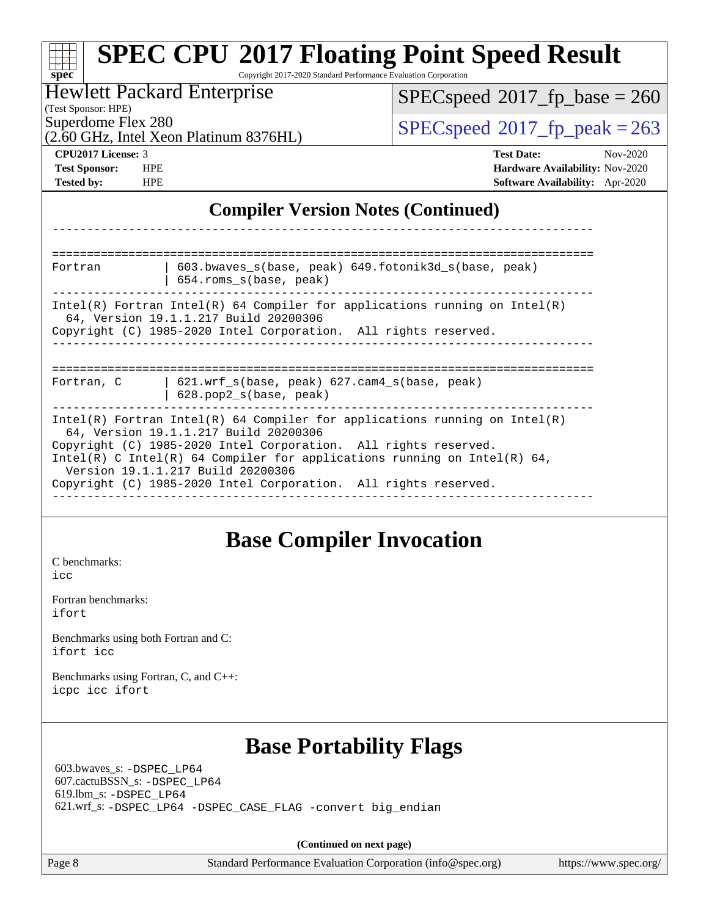| spec <sup>®</sup>                                                                   | <b>SPEC CPU®2017 Floating Point Speed Result</b><br>Copyright 2017-2020 Standard Performance Evaluation Corporation                                                                                                                                                  |                                                             |                                                                    |  |  |
|-------------------------------------------------------------------------------------|----------------------------------------------------------------------------------------------------------------------------------------------------------------------------------------------------------------------------------------------------------------------|-------------------------------------------------------------|--------------------------------------------------------------------|--|--|
| (Test Sponsor: HPE)                                                                 | <b>Hewlett Packard Enterprise</b>                                                                                                                                                                                                                                    |                                                             | $SPEC speed^{\circ}2017\_fp\_base = 260$                           |  |  |
| Superdome Flex 280                                                                  | (2.60 GHz, Intel Xeon Platinum 8376HL)                                                                                                                                                                                                                               |                                                             | $SPEC speed^{\circ}2017$ _fp_peak = 263                            |  |  |
| <b>CPU2017 License: 3</b>                                                           |                                                                                                                                                                                                                                                                      | <b>Test Date:</b>                                           | Nov-2020                                                           |  |  |
| <b>Test Sponsor:</b><br><b>Tested by:</b><br><b>HPE</b>                             | <b>HPE</b>                                                                                                                                                                                                                                                           |                                                             | Hardware Availability: Nov-2020<br>Software Availability: Apr-2020 |  |  |
|                                                                                     | <b>Compiler Version Notes (Continued)</b>                                                                                                                                                                                                                            |                                                             |                                                                    |  |  |
|                                                                                     |                                                                                                                                                                                                                                                                      |                                                             |                                                                    |  |  |
| Fortran                                                                             | 603.bwaves_s(base, peak) 649.fotonik3d_s(base, peak)<br>654.roms_s(base, peak)                                                                                                                                                                                       |                                                             |                                                                    |  |  |
|                                                                                     | $Intel(R)$ Fortran Intel(R) 64 Compiler for applications running on Intel(R)<br>64, Version 19.1.1.217 Build 20200306<br>Copyright (C) 1985-2020 Intel Corporation. All rights reserved.                                                                             |                                                             |                                                                    |  |  |
|                                                                                     |                                                                                                                                                                                                                                                                      |                                                             |                                                                    |  |  |
| Fortran, C                                                                          | 621.wrf_s(base, peak) 627.cam4_s(base, peak)<br>628.pop2_s(base, peak)                                                                                                                                                                                               |                                                             |                                                                    |  |  |
|                                                                                     | $Intel(R)$ Fortran Intel(R) 64 Compiler for applications running on Intel(R)<br>64, Version 19.1.1.217 Build 20200306<br>Copyright (C) 1985-2020 Intel Corporation. All rights reserved.<br>Intel(R) C Intel(R) 64 Compiler for applications running on Intel(R) 64, |                                                             |                                                                    |  |  |
|                                                                                     | Version 19.1.1.217 Build 20200306<br>Copyright (C) 1985-2020 Intel Corporation. All rights reserved.                                                                                                                                                                 |                                                             |                                                                    |  |  |
|                                                                                     | <b>Base Compiler Invocation</b>                                                                                                                                                                                                                                      |                                                             |                                                                    |  |  |
| C benchmarks:<br>icc                                                                |                                                                                                                                                                                                                                                                      |                                                             |                                                                    |  |  |
| Fortran benchmarks:<br>ifort                                                        |                                                                                                                                                                                                                                                                      |                                                             |                                                                    |  |  |
| Benchmarks using both Fortran and C:<br>ifort icc                                   |                                                                                                                                                                                                                                                                      |                                                             |                                                                    |  |  |
| Benchmarks using Fortran, C, and C++:<br>icpc icc ifort                             |                                                                                                                                                                                                                                                                      |                                                             |                                                                    |  |  |
|                                                                                     | <b>Base Portability Flags</b>                                                                                                                                                                                                                                        |                                                             |                                                                    |  |  |
| 603.bwaves_s: -DSPEC_LP64<br>607.cactuBSSN_s: -DSPEC_LP64<br>619.lbm_s: -DSPEC_LP64 | 621.wrf_s: -DSPEC_LP64 -DSPEC_CASE_FLAG -convert big_endian                                                                                                                                                                                                          |                                                             |                                                                    |  |  |
|                                                                                     |                                                                                                                                                                                                                                                                      |                                                             |                                                                    |  |  |
| Page 8                                                                              | (Continued on next page)                                                                                                                                                                                                                                             | Standard Performance Evaluation Corporation (info@spec.org) | https://www.spec.org/                                              |  |  |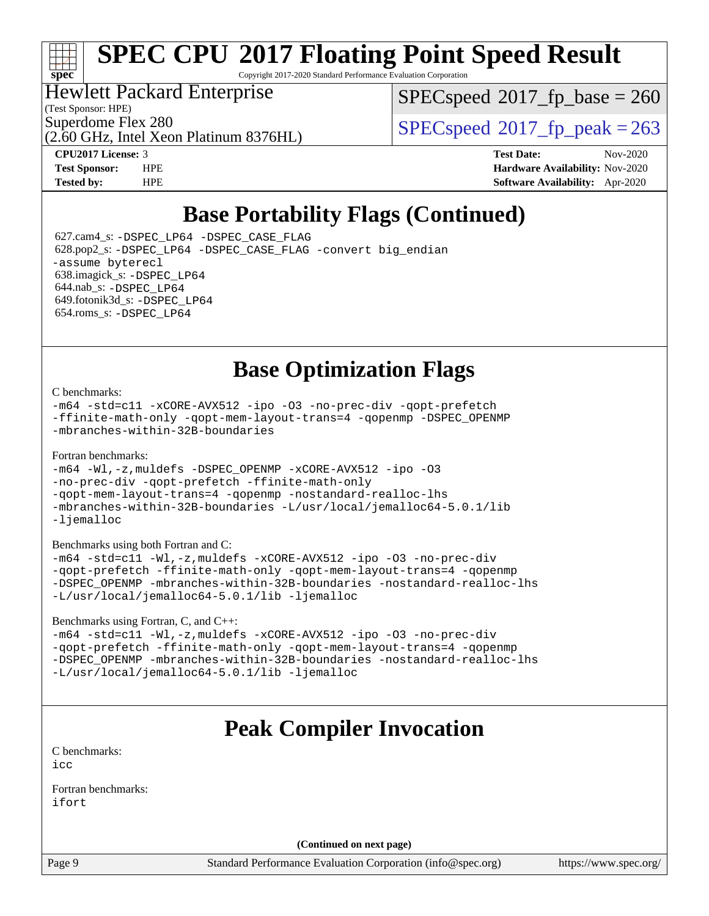# **[spec](http://www.spec.org/)**

# **[SPEC CPU](http://www.spec.org/auto/cpu2017/Docs/result-fields.html#SPECCPU2017FloatingPointSpeedResult)[2017 Floating Point Speed Result](http://www.spec.org/auto/cpu2017/Docs/result-fields.html#SPECCPU2017FloatingPointSpeedResult)**

Copyright 2017-2020 Standard Performance Evaluation Corporation

### Hewlett Packard Enterprise

(Test Sponsor: HPE)

[SPECspeed](http://www.spec.org/auto/cpu2017/Docs/result-fields.html#SPECspeed2017fpbase)<sup>®</sup>2017 fp base = 260

(2.60 GHz, Intel Xeon Platinum 8376HL)

Superdome Flex 280<br>  $SPEC speed^{\circ}2017$  fp\_peak = 263

**[CPU2017 License:](http://www.spec.org/auto/cpu2017/Docs/result-fields.html#CPU2017License)** 3 **[Test Date:](http://www.spec.org/auto/cpu2017/Docs/result-fields.html#TestDate)** Nov-2020 **[Test Sponsor:](http://www.spec.org/auto/cpu2017/Docs/result-fields.html#TestSponsor)** HPE **[Hardware Availability:](http://www.spec.org/auto/cpu2017/Docs/result-fields.html#HardwareAvailability)** Nov-2020 **[Tested by:](http://www.spec.org/auto/cpu2017/Docs/result-fields.html#Testedby)** HPE **[Software Availability:](http://www.spec.org/auto/cpu2017/Docs/result-fields.html#SoftwareAvailability)** Apr-2020

# **[Base Portability Flags \(Continued\)](http://www.spec.org/auto/cpu2017/Docs/result-fields.html#BasePortabilityFlags)**

 627.cam4\_s: [-DSPEC\\_LP64](http://www.spec.org/cpu2017/results/res2020q4/cpu2017-20201123-24421.flags.html#suite_basePORTABILITY627_cam4_s_DSPEC_LP64) [-DSPEC\\_CASE\\_FLAG](http://www.spec.org/cpu2017/results/res2020q4/cpu2017-20201123-24421.flags.html#b627.cam4_s_baseCPORTABILITY_DSPEC_CASE_FLAG) 628.pop2\_s: [-DSPEC\\_LP64](http://www.spec.org/cpu2017/results/res2020q4/cpu2017-20201123-24421.flags.html#suite_basePORTABILITY628_pop2_s_DSPEC_LP64) [-DSPEC\\_CASE\\_FLAG](http://www.spec.org/cpu2017/results/res2020q4/cpu2017-20201123-24421.flags.html#b628.pop2_s_baseCPORTABILITY_DSPEC_CASE_FLAG) [-convert big\\_endian](http://www.spec.org/cpu2017/results/res2020q4/cpu2017-20201123-24421.flags.html#user_baseFPORTABILITY628_pop2_s_convert_big_endian_c3194028bc08c63ac5d04de18c48ce6d347e4e562e8892b8bdbdc0214820426deb8554edfa529a3fb25a586e65a3d812c835984020483e7e73212c4d31a38223) [-assume byterecl](http://www.spec.org/cpu2017/results/res2020q4/cpu2017-20201123-24421.flags.html#user_baseFPORTABILITY628_pop2_s_assume_byterecl_7e47d18b9513cf18525430bbf0f2177aa9bf368bc7a059c09b2c06a34b53bd3447c950d3f8d6c70e3faf3a05c8557d66a5798b567902e8849adc142926523472) 638.imagick\_s: [-DSPEC\\_LP64](http://www.spec.org/cpu2017/results/res2020q4/cpu2017-20201123-24421.flags.html#suite_basePORTABILITY638_imagick_s_DSPEC_LP64) 644.nab\_s: [-DSPEC\\_LP64](http://www.spec.org/cpu2017/results/res2020q4/cpu2017-20201123-24421.flags.html#suite_basePORTABILITY644_nab_s_DSPEC_LP64) 649.fotonik3d\_s: [-DSPEC\\_LP64](http://www.spec.org/cpu2017/results/res2020q4/cpu2017-20201123-24421.flags.html#suite_basePORTABILITY649_fotonik3d_s_DSPEC_LP64) 654.roms\_s: [-DSPEC\\_LP64](http://www.spec.org/cpu2017/results/res2020q4/cpu2017-20201123-24421.flags.html#suite_basePORTABILITY654_roms_s_DSPEC_LP64)

# **[Base Optimization Flags](http://www.spec.org/auto/cpu2017/Docs/result-fields.html#BaseOptimizationFlags)**

### [C benchmarks](http://www.spec.org/auto/cpu2017/Docs/result-fields.html#Cbenchmarks):

[-m64](http://www.spec.org/cpu2017/results/res2020q4/cpu2017-20201123-24421.flags.html#user_CCbase_m64-icc) [-std=c11](http://www.spec.org/cpu2017/results/res2020q4/cpu2017-20201123-24421.flags.html#user_CCbase_std-icc-std_0e1c27790398a4642dfca32ffe6c27b5796f9c2d2676156f2e42c9c44eaad0c049b1cdb667a270c34d979996257aeb8fc440bfb01818dbc9357bd9d174cb8524) [-xCORE-AVX512](http://www.spec.org/cpu2017/results/res2020q4/cpu2017-20201123-24421.flags.html#user_CCbase_f-xCORE-AVX512) [-ipo](http://www.spec.org/cpu2017/results/res2020q4/cpu2017-20201123-24421.flags.html#user_CCbase_f-ipo) [-O3](http://www.spec.org/cpu2017/results/res2020q4/cpu2017-20201123-24421.flags.html#user_CCbase_f-O3) [-no-prec-div](http://www.spec.org/cpu2017/results/res2020q4/cpu2017-20201123-24421.flags.html#user_CCbase_f-no-prec-div) [-qopt-prefetch](http://www.spec.org/cpu2017/results/res2020q4/cpu2017-20201123-24421.flags.html#user_CCbase_f-qopt-prefetch) [-ffinite-math-only](http://www.spec.org/cpu2017/results/res2020q4/cpu2017-20201123-24421.flags.html#user_CCbase_f_finite_math_only_cb91587bd2077682c4b38af759c288ed7c732db004271a9512da14a4f8007909a5f1427ecbf1a0fb78ff2a814402c6114ac565ca162485bbcae155b5e4258871) [-qopt-mem-layout-trans=4](http://www.spec.org/cpu2017/results/res2020q4/cpu2017-20201123-24421.flags.html#user_CCbase_f-qopt-mem-layout-trans_fa39e755916c150a61361b7846f310bcdf6f04e385ef281cadf3647acec3f0ae266d1a1d22d972a7087a248fd4e6ca390a3634700869573d231a252c784941a8) [-qopenmp](http://www.spec.org/cpu2017/results/res2020q4/cpu2017-20201123-24421.flags.html#user_CCbase_qopenmp_16be0c44f24f464004c6784a7acb94aca937f053568ce72f94b139a11c7c168634a55f6653758ddd83bcf7b8463e8028bb0b48b77bcddc6b78d5d95bb1df2967) [-DSPEC\\_OPENMP](http://www.spec.org/cpu2017/results/res2020q4/cpu2017-20201123-24421.flags.html#suite_CCbase_DSPEC_OPENMP) [-mbranches-within-32B-boundaries](http://www.spec.org/cpu2017/results/res2020q4/cpu2017-20201123-24421.flags.html#user_CCbase_f-mbranches-within-32B-boundaries)

### [Fortran benchmarks](http://www.spec.org/auto/cpu2017/Docs/result-fields.html#Fortranbenchmarks):

```
-m64 -Wl,-z,muldefs -DSPEC_OPENMP -xCORE-AVX512 -ipo -O3
-no-prec-div -qopt-prefetch -ffinite-math-only
-qopt-mem-layout-trans=4 -qopenmp -nostandard-realloc-lhs
-mbranches-within-32B-boundaries -L/usr/local/jemalloc64-5.0.1/lib
-ljemalloc
```
[Benchmarks using both Fortran and C](http://www.spec.org/auto/cpu2017/Docs/result-fields.html#BenchmarksusingbothFortranandC):

```
-m64 -std=c11 -Wl,-z,muldefs -xCORE-AVX512 -ipo -O3 -no-prec-div
-qopt-prefetch -ffinite-math-only -qopt-mem-layout-trans=4 -qopenmp
-DSPEC_OPENMP -mbranches-within-32B-boundaries -nostandard-realloc-lhs
-L/usr/local/jemalloc64-5.0.1/lib -ljemalloc
```
[Benchmarks using Fortran, C, and C++:](http://www.spec.org/auto/cpu2017/Docs/result-fields.html#BenchmarksusingFortranCandCXX)

```
-m64 -std=c11 -Wl,-z,muldefs -xCORE-AVX512 -ipo -O3 -no-prec-div
-qopt-prefetch -ffinite-math-only -qopt-mem-layout-trans=4 -qopenmp
-DSPEC_OPENMP -mbranches-within-32B-boundaries -nostandard-realloc-lhs
-L/usr/local/jemalloc64-5.0.1/lib -ljemalloc
```
# **[Peak Compiler Invocation](http://www.spec.org/auto/cpu2017/Docs/result-fields.html#PeakCompilerInvocation)**

[C benchmarks](http://www.spec.org/auto/cpu2017/Docs/result-fields.html#Cbenchmarks): [icc](http://www.spec.org/cpu2017/results/res2020q4/cpu2017-20201123-24421.flags.html#user_CCpeak_intel_icc_66fc1ee009f7361af1fbd72ca7dcefbb700085f36577c54f309893dd4ec40d12360134090235512931783d35fd58c0460139e722d5067c5574d8eaf2b3e37e92)

[Fortran benchmarks](http://www.spec.org/auto/cpu2017/Docs/result-fields.html#Fortranbenchmarks): [ifort](http://www.spec.org/cpu2017/results/res2020q4/cpu2017-20201123-24421.flags.html#user_FCpeak_intel_ifort_8111460550e3ca792625aed983ce982f94888b8b503583aa7ba2b8303487b4d8a21a13e7191a45c5fd58ff318f48f9492884d4413fa793fd88dd292cad7027ca)

**(Continued on next page)**

Page 9 Standard Performance Evaluation Corporation [\(info@spec.org\)](mailto:info@spec.org) <https://www.spec.org/>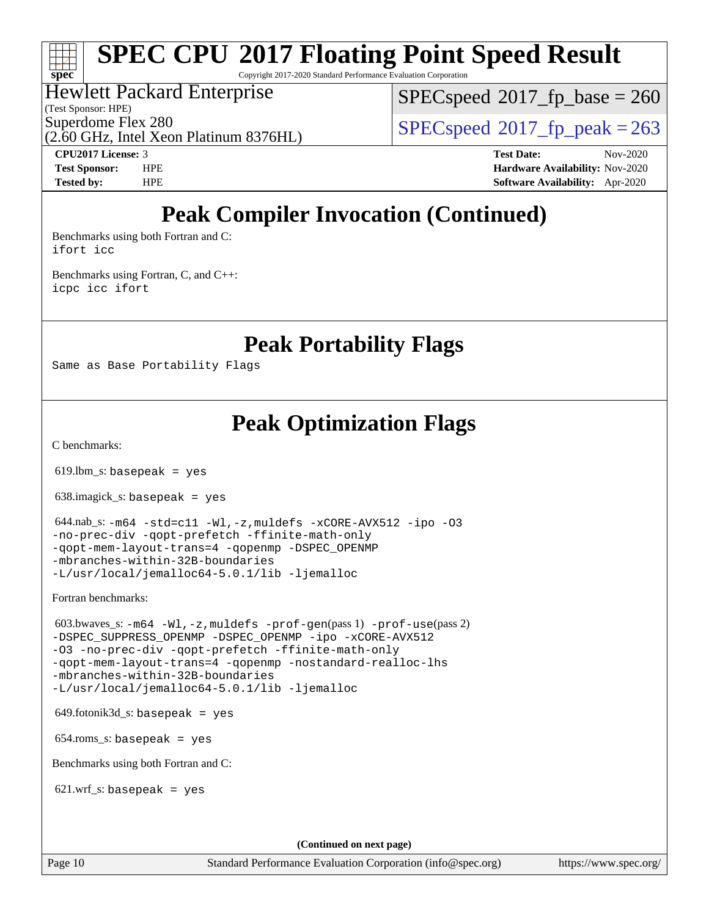Copyright 2017-2020 Standard Performance Evaluation Corporation

### Hewlett Packard Enterprise

(Test Sponsor: HPE)

**[spec](http://www.spec.org/)**

[SPECspeed](http://www.spec.org/auto/cpu2017/Docs/result-fields.html#SPECspeed2017fpbase)<sup>®</sup>2017 fp base = 260

(2.60 GHz, Intel Xeon Platinum 8376HL)

Superdome Flex 280<br>  $SPECspeed^{\circ}2017$  $SPECspeed^{\circ}2017$  fp\_peak = 263

**[CPU2017 License:](http://www.spec.org/auto/cpu2017/Docs/result-fields.html#CPU2017License)** 3 **[Test Date:](http://www.spec.org/auto/cpu2017/Docs/result-fields.html#TestDate)** Nov-2020 **[Test Sponsor:](http://www.spec.org/auto/cpu2017/Docs/result-fields.html#TestSponsor)** HPE **[Hardware Availability:](http://www.spec.org/auto/cpu2017/Docs/result-fields.html#HardwareAvailability)** Nov-2020 **[Tested by:](http://www.spec.org/auto/cpu2017/Docs/result-fields.html#Testedby)** HPE **[Software Availability:](http://www.spec.org/auto/cpu2017/Docs/result-fields.html#SoftwareAvailability)** Apr-2020

# **[Peak Compiler Invocation \(Continued\)](http://www.spec.org/auto/cpu2017/Docs/result-fields.html#PeakCompilerInvocation)**

[Benchmarks using both Fortran and C](http://www.spec.org/auto/cpu2017/Docs/result-fields.html#BenchmarksusingbothFortranandC): [ifort](http://www.spec.org/cpu2017/results/res2020q4/cpu2017-20201123-24421.flags.html#user_CC_FCpeak_intel_ifort_8111460550e3ca792625aed983ce982f94888b8b503583aa7ba2b8303487b4d8a21a13e7191a45c5fd58ff318f48f9492884d4413fa793fd88dd292cad7027ca) [icc](http://www.spec.org/cpu2017/results/res2020q4/cpu2017-20201123-24421.flags.html#user_CC_FCpeak_intel_icc_66fc1ee009f7361af1fbd72ca7dcefbb700085f36577c54f309893dd4ec40d12360134090235512931783d35fd58c0460139e722d5067c5574d8eaf2b3e37e92)

[Benchmarks using Fortran, C, and C++:](http://www.spec.org/auto/cpu2017/Docs/result-fields.html#BenchmarksusingFortranCandCXX) [icpc](http://www.spec.org/cpu2017/results/res2020q4/cpu2017-20201123-24421.flags.html#user_CC_CXX_FCpeak_intel_icpc_c510b6838c7f56d33e37e94d029a35b4a7bccf4766a728ee175e80a419847e808290a9b78be685c44ab727ea267ec2f070ec5dc83b407c0218cded6866a35d07) [icc](http://www.spec.org/cpu2017/results/res2020q4/cpu2017-20201123-24421.flags.html#user_CC_CXX_FCpeak_intel_icc_66fc1ee009f7361af1fbd72ca7dcefbb700085f36577c54f309893dd4ec40d12360134090235512931783d35fd58c0460139e722d5067c5574d8eaf2b3e37e92) [ifort](http://www.spec.org/cpu2017/results/res2020q4/cpu2017-20201123-24421.flags.html#user_CC_CXX_FCpeak_intel_ifort_8111460550e3ca792625aed983ce982f94888b8b503583aa7ba2b8303487b4d8a21a13e7191a45c5fd58ff318f48f9492884d4413fa793fd88dd292cad7027ca)

**[Peak Portability Flags](http://www.spec.org/auto/cpu2017/Docs/result-fields.html#PeakPortabilityFlags)**

Same as Base Portability Flags

## **[Peak Optimization Flags](http://www.spec.org/auto/cpu2017/Docs/result-fields.html#PeakOptimizationFlags)**

[C benchmarks](http://www.spec.org/auto/cpu2017/Docs/result-fields.html#Cbenchmarks):

 $619.$ lbm\_s: basepeak = yes

638.imagick\_s: basepeak = yes

```
 644.nab_s: -m64 -std=c11 -Wl,-z,muldefs -xCORE-AVX512 -ipo -O3
-no-prec-div -qopt-prefetch -ffinite-math-only
-qopt-mem-layout-trans=4 -qopenmp -DSPEC_OPENMP
-mbranches-within-32B-boundaries
-L/usr/local/jemalloc64-5.0.1/lib -ljemalloc
```
[Fortran benchmarks](http://www.spec.org/auto/cpu2017/Docs/result-fields.html#Fortranbenchmarks):

```
 603.bwaves_s: -m64 -Wl,-z,muldefs -prof-gen(pass 1) -prof-use(pass 2)
-ipo-xCORE-AVX512
-O3 -no-prec-div -qopt-prefetch -ffinite-math-only
-qopt-mem-layout-trans=4 -qopenmp -nostandard-realloc-lhs
-mbranches-within-32B-boundaries
-L/usr/local/jemalloc64-5.0.1/lib -ljemalloc
```
 $649.$ fotonik $3d$ <sub>-</sub>s: basepeak = yes

654.roms\_s: basepeak = yes

[Benchmarks using both Fortran and C](http://www.spec.org/auto/cpu2017/Docs/result-fields.html#BenchmarksusingbothFortranandC):

 $621.wrf_s$ : basepeak = yes

**(Continued on next page)**